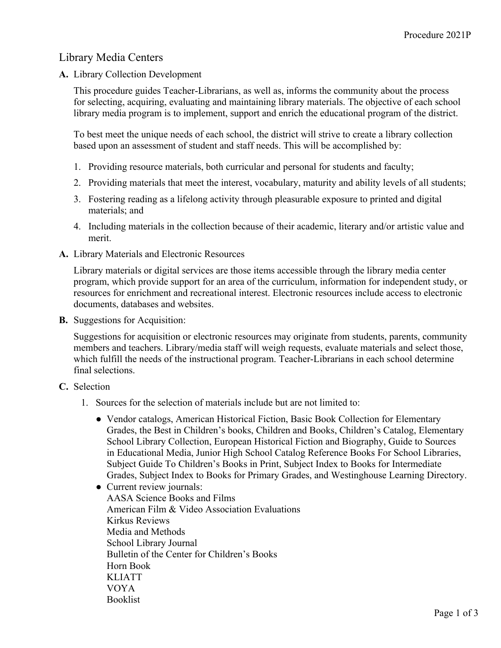## Library Media Centers

**A.** Library Collection Development

This procedure guides Teacher-Librarians, as well as, informs the community about the process for selecting, acquiring, evaluating and maintaining library materials. The objective of each school library media program is to implement, support and enrich the educational program of the district.

To best meet the unique needs of each school, the district will strive to create a library collection based upon an assessment of student and staff needs. This will be accomplished by:

- 1. Providing resource materials, both curricular and personal for students and faculty;
- 2. Providing materials that meet the interest, vocabulary, maturity and ability levels of all students;
- 3. Fostering reading as a lifelong activity through pleasurable exposure to printed and digital materials; and
- 4. Including materials in the collection because of their academic, literary and/or artistic value and merit.
- **A.** Library Materials and Electronic Resources

Library materials or digital services are those items accessible through the library media center program, which provide support for an area of the curriculum, information for independent study, or resources for enrichment and recreational interest. Electronic resources include access to electronic documents, databases and websites.

**B.** Suggestions for Acquisition:

Suggestions for acquisition or electronic resources may originate from students, parents, community members and teachers. Library/media staff will weigh requests, evaluate materials and select those, which fulfill the needs of the instructional program. Teacher-Librarians in each school determine final selections.

- **C.** Selection
	- 1. Sources for the selection of materials include but are not limited to:
		- Vendor catalogs, American Historical Fiction, Basic Book Collection for Elementary Grades, the Best in Children's books, Children and Books, Children's Catalog, Elementary School Library Collection, European Historical Fiction and Biography, Guide to Sources in Educational Media, Junior High School Catalog Reference Books For School Libraries, Subject Guide To Children's Books in Print, Subject Index to Books for Intermediate Grades, Subject Index to Books for Primary Grades, and Westinghouse Learning Directory.
		- Current review journals: AASA Science Books and Films American Film & Video Association Evaluations Kirkus Reviews Media and Methods School Library Journal Bulletin of the Center for Children's Books Horn Book KLIATT VOYA Booklist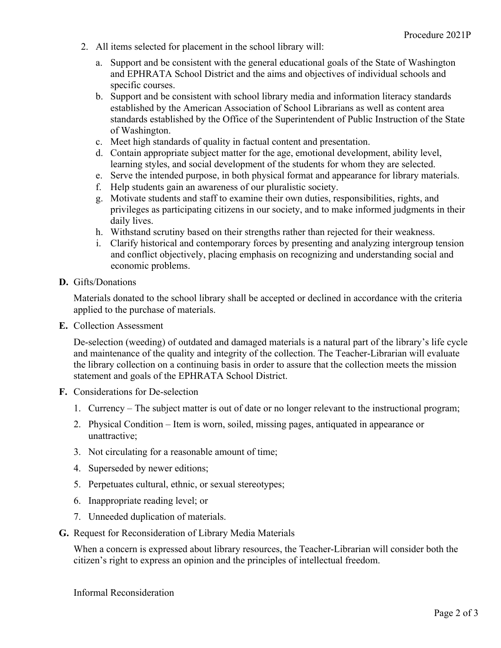- 2. All items selected for placement in the school library will:
	- a. Support and be consistent with the general educational goals of the State of Washington and EPHRATA School District and the aims and objectives of individual schools and specific courses.
	- b. Support and be consistent with school library media and information literacy standards established by the American Association of School Librarians as well as content area standards established by the Office of the Superintendent of Public Instruction of the State of Washington.
	- c. Meet high standards of quality in factual content and presentation.
	- d. Contain appropriate subject matter for the age, emotional development, ability level, learning styles, and social development of the students for whom they are selected.
	- e. Serve the intended purpose, in both physical format and appearance for library materials.
	- f. Help students gain an awareness of our pluralistic society.
	- g. Motivate students and staff to examine their own duties, responsibilities, rights, and privileges as participating citizens in our society, and to make informed judgments in their daily lives.
	- h. Withstand scrutiny based on their strengths rather than rejected for their weakness.
	- i. Clarify historical and contemporary forces by presenting and analyzing intergroup tension and conflict objectively, placing emphasis on recognizing and understanding social and economic problems.
- **D.** Gifts/Donations

Materials donated to the school library shall be accepted or declined in accordance with the criteria applied to the purchase of materials.

**E.** Collection Assessment

De-selection (weeding) of outdated and damaged materials is a natural part of the library's life cycle and maintenance of the quality and integrity of the collection. The Teacher-Librarian will evaluate the library collection on a continuing basis in order to assure that the collection meets the mission statement and goals of the EPHRATA School District.

- **F.** Considerations for De-selection
	- 1. Currency The subject matter is out of date or no longer relevant to the instructional program;
	- 2. Physical Condition Item is worn, soiled, missing pages, antiquated in appearance or unattractive;
	- 3. Not circulating for a reasonable amount of time;
	- 4. Superseded by newer editions;
	- 5. Perpetuates cultural, ethnic, or sexual stereotypes;
	- 6. Inappropriate reading level; or
	- 7. Unneeded duplication of materials.
- **G.** Request for Reconsideration of Library Media Materials

When a concern is expressed about library resources, the Teacher-Librarian will consider both the citizen's right to express an opinion and the principles of intellectual freedom.

Informal Reconsideration